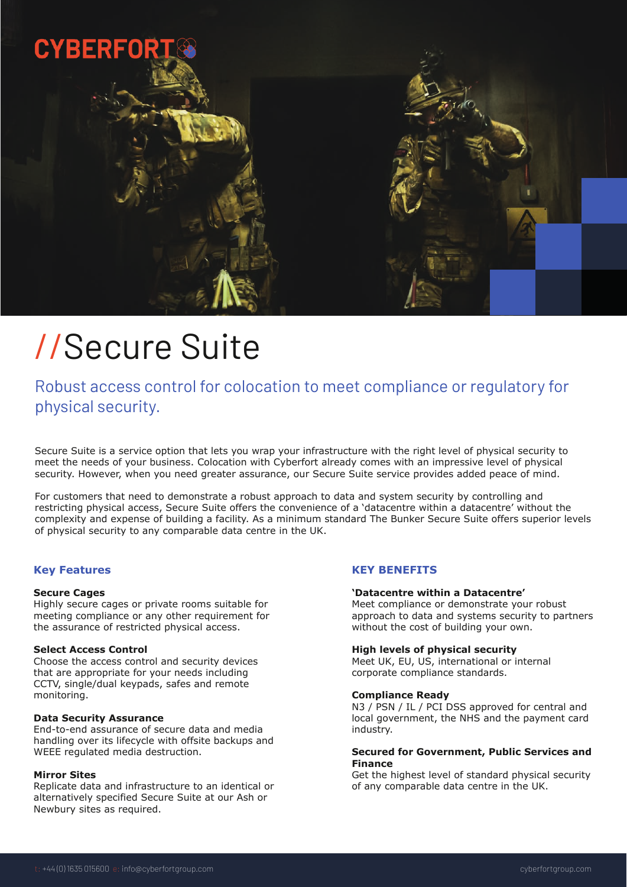

# //Secure Suite

Robust access control for colocation to meet compliance or regulatory for physical security.

Secure Suite is a service option that lets you wrap your infrastructure with the right level of physical security to meet the needs of your business. Colocation with Cyberfort already comes with an impressive level of physical security. However, when you need greater assurance, our Secure Suite service provides added peace of mind.

For customers that need to demonstrate a robust approach to data and system security by controlling and restricting physical access, Secure Suite offers the convenience of a 'datacentre within a datacentre' without the complexity and expense of building a facility. As a minimum standard The Bunker Secure Suite offers superior levels of physical security to any comparable data centre in the UK.

## **Key Features**

## **Secure Cages**

Highly secure cages or private rooms suitable for meeting compliance or any other requirement for the assurance of restricted physical access.

## **Select Access Control**

Choose the access control and security devices that are appropriate for your needs including CCTV, single/dual keypads, safes and remote monitoring.

#### **Data Security Assurance**

End-to-end assurance of secure data and media handling over its lifecycle with offsite backups and WEEE regulated media destruction.

## **Mirror Sites**

Replicate data and infrastructure to an identical or alternatively specified Secure Suite at our Ash or Newbury sites as required.

# **KEY BENEFITS**

## **'Datacentre within a Datacentre'**

Meet compliance or demonstrate your robust approach to data and systems security to partners without the cost of building your own.

## **High levels of physical security**

Meet UK, EU, US, international or internal corporate compliance standards.

#### **Compliance Ready**

N3 / PSN / IL / PCI DSS approved for central and local government, the NHS and the payment card industry.

## **Secured for Government, Public Services and Finance**

Get the highest level of standard physical security of any comparable data centre in the UK.